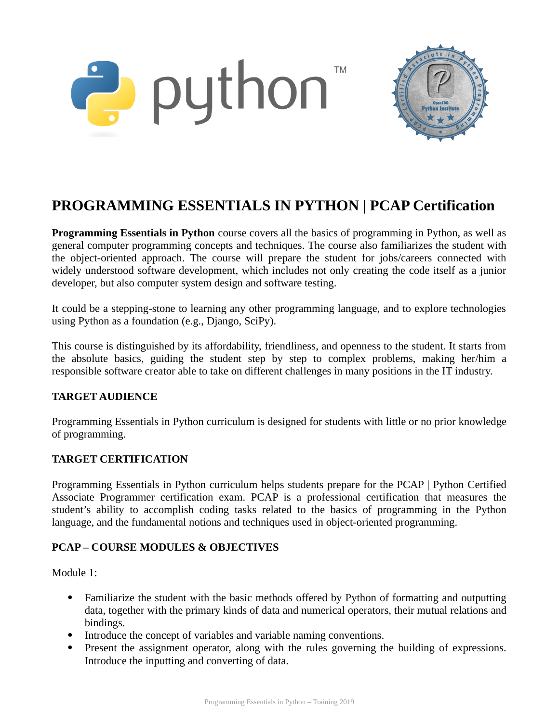



# **PROGRAMMING ESSENTIALS IN PYTHON | PCAP Certification**

**Programming Essentials in Python** course covers all the basics of programming in Python, as well as general computer programming concepts and techniques. The course also familiarizes the student with the object-oriented approach. The course will prepare the student for jobs/careers connected with widely understood software development, which includes not only creating the code itself as a junior developer, but also computer system design and software testing.

It could be a stepping-stone to learning any other programming language, and to explore technologies using Python as a foundation (e.g., Django, SciPy).

This course is distinguished by its affordability, friendliness, and openness to the student. It starts from the absolute basics, guiding the student step by step to complex problems, making her/him a responsible software creator able to take on different challenges in many positions in the IT industry.

## **TARGET AUDIENCE**

Programming Essentials in Python curriculum is designed for students with little or no prior knowledge of programming.

## **TARGET CERTIFICATION**

Programming Essentials in Python curriculum helps students prepare for the PCAP | Python Certified Associate Programmer certification exam. PCAP is a professional certification that measures the student's ability to accomplish coding tasks related to the basics of programming in the Python language, and the fundamental notions and techniques used in object-oriented programming.

## **PCAP – COURSE MODULES & OBJECTIVES**

Module 1:

- Familiarize the student with the basic methods offered by Python of formatting and outputting data, together with the primary kinds of data and numerical operators, their mutual relations and bindings.
- Introduce the concept of variables and variable naming conventions.
- Present the assignment operator, along with the rules governing the building of expressions. Introduce the inputting and converting of data.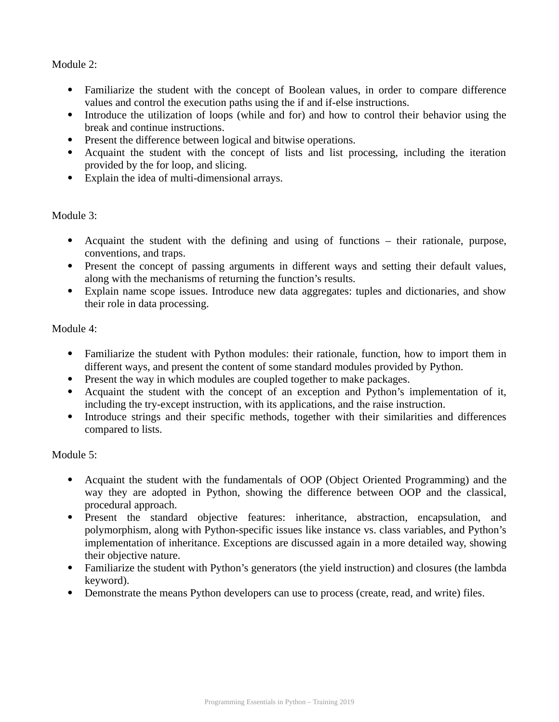Module 2:

- Familiarize the student with the concept of Boolean values, in order to compare difference values and control the execution paths using the if and if-else instructions.
- Introduce the utilization of loops (while and for) and how to control their behavior using the break and continue instructions.
- Present the difference between logical and bitwise operations.
- Acquaint the student with the concept of lists and list processing, including the iteration provided by the for loop, and slicing.
- Explain the idea of multi-dimensional arrays.

Module 3:

- Acquaint the student with the defining and using of functions their rationale, purpose, conventions, and traps.
- Present the concept of passing arguments in different ways and setting their default values, along with the mechanisms of returning the function's results.
- Explain name scope issues. Introduce new data aggregates: tuples and dictionaries, and show their role in data processing.

Module 4:

- Familiarize the student with Python modules: their rationale, function, how to import them in different ways, and present the content of some standard modules provided by Python.
- Present the way in which modules are coupled together to make packages.
- Acquaint the student with the concept of an exception and Python's implementation of it, including the try-except instruction, with its applications, and the raise instruction.
- Introduce strings and their specific methods, together with their similarities and differences compared to lists.

Module 5:

- Acquaint the student with the fundamentals of OOP (Object Oriented Programming) and the way they are adopted in Python, showing the difference between OOP and the classical, procedural approach.
- Present the standard objective features: inheritance, abstraction, encapsulation, and polymorphism, along with Python-specific issues like instance vs. class variables, and Python's implementation of inheritance. Exceptions are discussed again in a more detailed way, showing their objective nature.
- Familiarize the student with Python's generators (the yield instruction) and closures (the lambda keyword).
- Demonstrate the means Python developers can use to process (create, read, and write) files.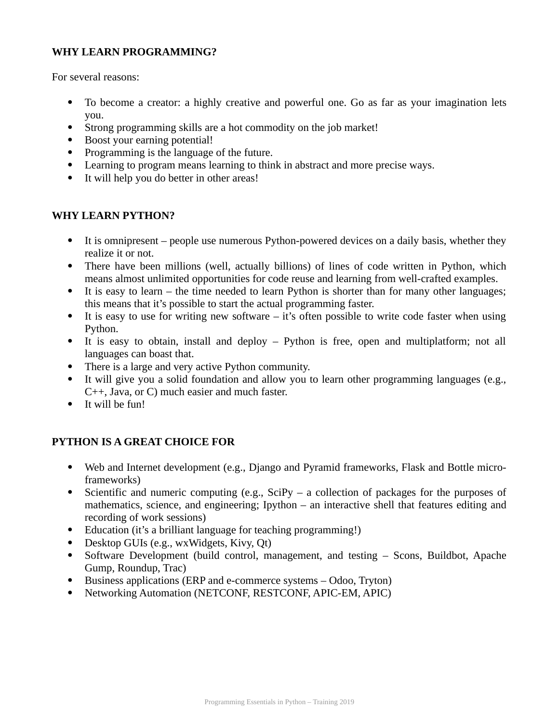## **WHY LEARN PROGRAMMING?**

For several reasons:

- To become a creator: a highly creative and powerful one. Go as far as your imagination lets you.
- Strong programming skills are a hot commodity on the job market!
- Boost your earning potential!
- Programming is the language of the future.
- Learning to program means learning to think in abstract and more precise ways.
- It will help you do better in other areas!

#### **WHY LEARN PYTHON?**

- It is omnipresent people use numerous Python-powered devices on a daily basis, whether they realize it or not.
- There have been millions (well, actually billions) of lines of code written in Python, which means almost unlimited opportunities for code reuse and learning from well-crafted examples.
- It is easy to learn the time needed to learn Python is shorter than for many other languages; this means that it's possible to start the actual programming faster.
- It is easy to use for writing new software it's often possible to write code faster when using Python.
- It is easy to obtain, install and deploy Python is free, open and multiplatform; not all languages can boast that.
- There is a large and very active Python community.
- It will give you a solid foundation and allow you to learn other programming languages (e.g., C++, Java, or C) much easier and much faster.
- It will be fun!

#### **PYTHON IS A GREAT CHOICE FOR**

- Web and Internet development (e.g., Django and Pyramid frameworks, Flask and Bottle microframeworks)
- Scientific and numeric computing (e.g.,  $SciPy a$  collection of packages for the purposes of mathematics, science, and engineering; Ipython – an interactive shell that features editing and recording of work sessions)
- Education (it's a brilliant language for teaching programming!)
- Desktop GUIs (e.g., wxWidgets, Kivy, Qt)
- Software Development (build control, management, and testing Scons, Buildbot, Apache Gump, Roundup, Trac)
- Business applications (ERP and e-commerce systems Odoo, Tryton)
- Networking Automation (NETCONF, RESTCONF, APIC-EM, APIC)